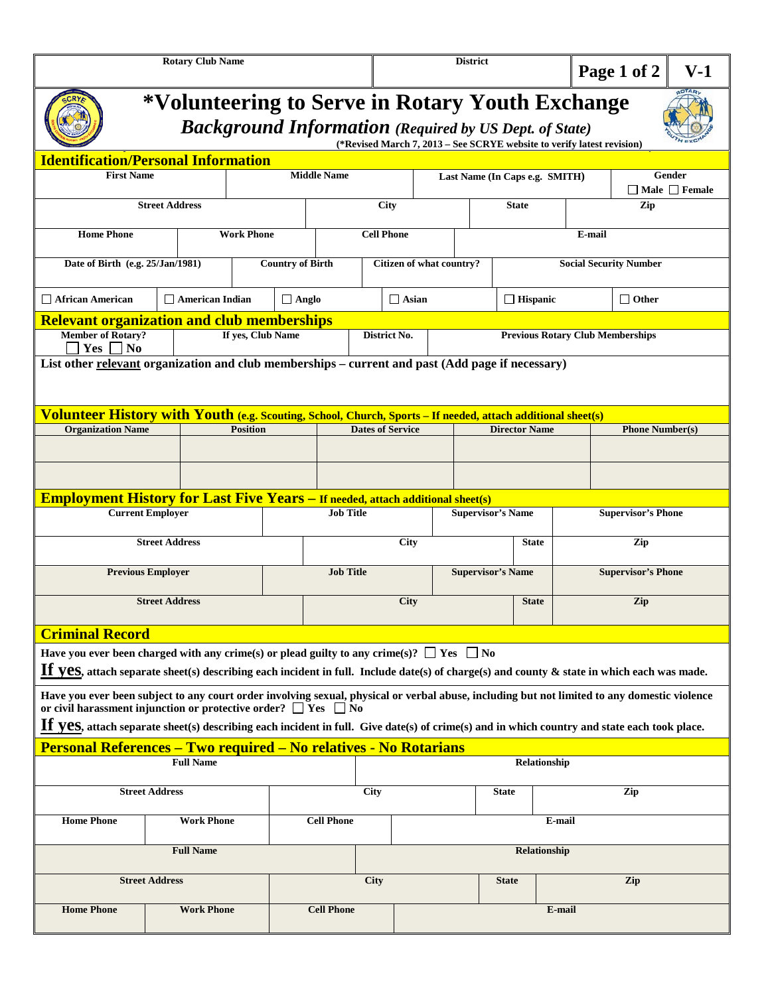| <b>Rotary Club Name</b>                                                                                                                                                                                                                          |  |  |                   |                         |      | <b>District</b>         |                          |                                |                      |                                         | Page 1 of 2 |                           | $V-1$                               |  |  |
|--------------------------------------------------------------------------------------------------------------------------------------------------------------------------------------------------------------------------------------------------|--|--|-------------------|-------------------------|------|-------------------------|--------------------------|--------------------------------|----------------------|-----------------------------------------|-------------|---------------------------|-------------------------------------|--|--|
| *Volunteering to Serve in Rotary Youth Exchange<br><b>Background Information</b> (Required by US Dept. of State)<br>(*Revised March 7, 2013 – See SCRYE website to verify latest revision)                                                       |  |  |                   |                         |      |                         |                          |                                |                      |                                         |             |                           |                                     |  |  |
| <b>Identification/Personal Information</b>                                                                                                                                                                                                       |  |  |                   |                         |      |                         |                          |                                |                      |                                         |             |                           |                                     |  |  |
| <b>First Name</b>                                                                                                                                                                                                                                |  |  |                   | <b>Middle Name</b>      |      |                         |                          | Last Name (In Caps e.g. SMITH) |                      |                                         |             |                           | Gender<br>$\Box$ Male $\Box$ Female |  |  |
| <b>Street Address</b>                                                                                                                                                                                                                            |  |  |                   | City                    |      |                         |                          | <b>State</b>                   |                      |                                         |             | Zip                       |                                     |  |  |
| <b>Home Phone</b><br><b>Work Phone</b>                                                                                                                                                                                                           |  |  |                   | <b>Cell Phone</b>       |      |                         |                          |                                |                      |                                         | E-mail      |                           |                                     |  |  |
| Date of Birth (e.g. 25/Jan/1981)                                                                                                                                                                                                                 |  |  |                   | <b>Country of Birth</b> |      |                         | Citizen of what country? |                                |                      | <b>Social Security Number</b>           |             |                           |                                     |  |  |
| $\Box$ American Indian<br>$\Box$ African American                                                                                                                                                                                                |  |  |                   | $\Box$ Anglo            |      |                         | $\Box$ Asian             |                                |                      | $\Box$ Hispanic                         |             |                           | $\Box$ Other                        |  |  |
| <b>Relevant organization and club memberships</b>                                                                                                                                                                                                |  |  |                   |                         |      |                         |                          |                                |                      |                                         |             |                           |                                     |  |  |
| <b>Member of Rotary?</b><br>$Yes \vert$<br>N <sub>0</sub>                                                                                                                                                                                        |  |  | If yes, Club Name |                         |      | District No.            |                          |                                |                      | <b>Previous Rotary Club Memberships</b> |             |                           |                                     |  |  |
| List other relevant organization and club memberships – current and past (Add page if necessary)                                                                                                                                                 |  |  |                   |                         |      |                         |                          |                                |                      |                                         |             |                           |                                     |  |  |
| Volunteer History with Youth (e.g. Scouting, School, Church, Sports - If needed, attach additional sheet(s)                                                                                                                                      |  |  |                   |                         |      |                         |                          |                                |                      |                                         |             |                           |                                     |  |  |
| <b>Organization Name</b>                                                                                                                                                                                                                         |  |  | <b>Position</b>   |                         |      | <b>Dates of Service</b> |                          |                                | <b>Director Name</b> |                                         |             | <b>Phone Number(s)</b>    |                                     |  |  |
|                                                                                                                                                                                                                                                  |  |  |                   |                         |      |                         |                          |                                |                      |                                         |             |                           |                                     |  |  |
| <b>Employment History for Last Five Years - If needed, attach additional sheet(s)</b>                                                                                                                                                            |  |  |                   |                         |      |                         |                          |                                |                      |                                         |             |                           |                                     |  |  |
| <b>Current Employer</b>                                                                                                                                                                                                                          |  |  |                   | <b>Job Title</b>        |      |                         |                          | <b>Supervisor's Name</b>       |                      |                                         |             | <b>Supervisor's Phone</b> |                                     |  |  |
| <b>Street Address</b>                                                                                                                                                                                                                            |  |  |                   |                         |      |                         | <b>City</b>              |                                |                      |                                         |             | Zip                       |                                     |  |  |
| <b>Previous Employer</b>                                                                                                                                                                                                                         |  |  |                   | <b>Job Title</b>        |      |                         |                          | <b>Supervisor's Name</b>       |                      |                                         |             | <b>Supervisor's Phone</b> |                                     |  |  |
| <b>Street Address</b>                                                                                                                                                                                                                            |  |  |                   |                         |      |                         | City                     |                                |                      | <b>State</b>                            | Zip         |                           |                                     |  |  |
| <b>Criminal Record</b>                                                                                                                                                                                                                           |  |  |                   |                         |      |                         |                          |                                |                      |                                         |             |                           |                                     |  |  |
| Have you ever been charged with any crime(s) or plead guilty to any crime(s)? $\Box$ Yes $\Box$ No<br>If VeS, attach separate sheet(s) describing each incident in full. Include date(s) of charge(s) and county & state in which each was made. |  |  |                   |                         |      |                         |                          |                                |                      |                                         |             |                           |                                     |  |  |
| Have you ever been subject to any court order involving sexual, physical or verbal abuse, including but not limited to any domestic violence<br>or civil harassment injunction or protective order? $\Box$ Yes $\Box$ No                         |  |  |                   |                         |      |                         |                          |                                |                      |                                         |             |                           |                                     |  |  |
| If yes, attach separate sheet(s) describing each incident in full. Give date(s) of crime(s) and in which country and state each took place.                                                                                                      |  |  |                   |                         |      |                         |                          |                                |                      |                                         |             |                           |                                     |  |  |
| <b>Personal References – Two required – No relatives - No Rotarians</b>                                                                                                                                                                          |  |  |                   |                         |      |                         |                          |                                |                      |                                         |             |                           |                                     |  |  |
| <b>Full Name</b><br>Relationship                                                                                                                                                                                                                 |  |  |                   |                         |      |                         |                          |                                |                      |                                         |             |                           |                                     |  |  |
| <b>Street Address</b>                                                                                                                                                                                                                            |  |  | City              |                         |      |                         | <b>State</b>             |                                |                      |                                         | Zip         |                           |                                     |  |  |
| <b>Home Phone</b><br><b>Work Phone</b>                                                                                                                                                                                                           |  |  |                   | <b>Cell Phone</b>       |      |                         | E-mail                   |                                |                      |                                         |             |                           |                                     |  |  |
| <b>Full Name</b>                                                                                                                                                                                                                                 |  |  |                   |                         |      |                         |                          |                                |                      | <b>Relationship</b>                     |             |                           |                                     |  |  |
| <b>Street Address</b>                                                                                                                                                                                                                            |  |  |                   |                         | City |                         |                          | <b>State</b>                   |                      |                                         |             | Zip                       |                                     |  |  |
| <b>Home Phone</b><br><b>Work Phone</b>                                                                                                                                                                                                           |  |  |                   | <b>Cell Phone</b>       |      |                         | E-mail                   |                                |                      |                                         |             |                           |                                     |  |  |